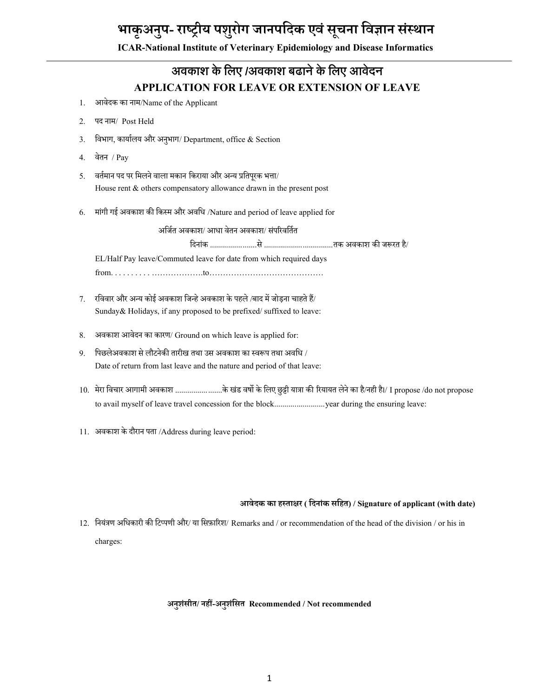# **भाकृअन ु प- राष्ट्रीय पश ु रोग जानपददक एवांस ू चना दवज्ञान सांस्थान**

**ICAR-National Institute of Veterinary Epidemiology and Disease Informatics**

## **अवकाश केलिए /अवकाश बढानेकेलिए आवेदन APPLICATION FOR LEAVE OR EXTENSION OF LEAVE**

- 1. आवेदक का नाम/Name of the Applicant
- 2. पद नाम/ Post Held
- 3. विभाग, कार्यालय और अनुभाग/ Department, office & Section
- 4. वेतन / Pay
- 5. वर्तमान पद पर मिलने वाला मकान किराया और अन्य प्रतिपूरक भत्ता/ House rent & others compensatory allowance drawn in the present post
- 6. माांगी गई अवकाश की वकस्म और अववध /Nature and period of leave applied for

अर्जित अवकाश/ आधा वेतन अवकाश/ संपरिवर्तित

वदनाांक .......................से ..................................तक अवकाश की जरूरत है/

EL/Half Pay leave/Commuted leave for date from which required days from. . . . . . . . . . ……………….to……………………………………

- 7. रवववार और अन्य कोई अवकाश वजन्हे अवकाश के पहले /बाद में जोड़ना चाहते हैं/ Sunday& Holidays, if any proposed to be prefixed/ suffixed to leave:
- 8. अवकाश आवेदन का कारण/ Ground on which leave is applied for:
- 9. वपछलेअवकाश से लौटनेकी तारीख तथा उस अवकाश का स्वरूप तथा अववध / Date of return from last leave and the nature and period of that leave:
- 10. मेरा विचार आगामी अवकाश .......................के खंड वर्षो के लिए छुट्टी यात्रा की रियायत लेने का है/नही है।/ I propose /do not propose to avail myself of leave travel concession for the block............................year during the ensuring leave:
- 11. अवकाश के दौरान पता /Address during leave period:

#### **आवेदक का हस्ताक्षर ( ददनाांक सदहत) / Signature of applicant (with date)**

12. वनयांत्रण अवधकारी की वटप्पणी और/ या वसफ़ाररश/ Remarks and / or recommendation of the head of the division / or his in charges:

#### **अनुशांसीत/ नहीं-अनुशांदसत Recommended / Not recommended**